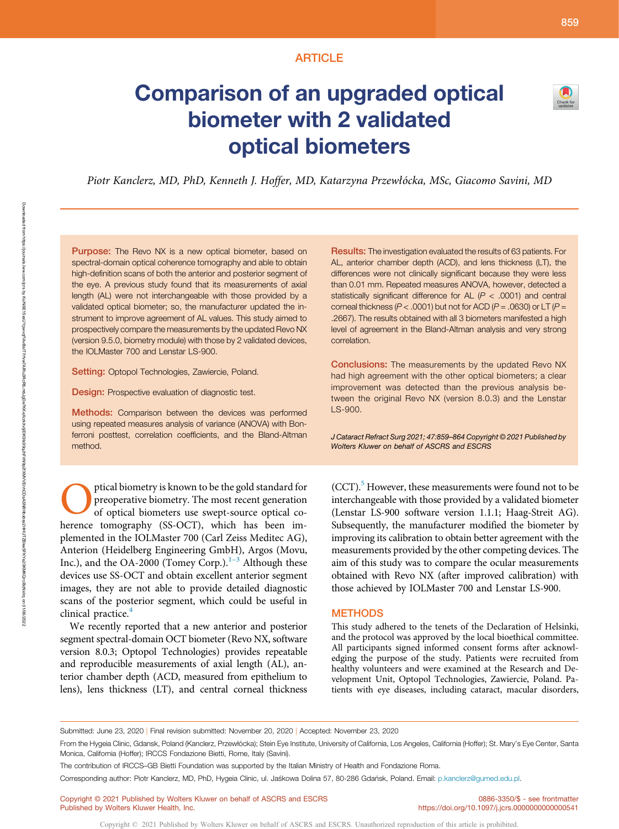# ARTICLE

# Comparison of an upgraded optical biometer with 2 validated optical biometers



859

Piotr Kanclerz, MD, PhD, Kenneth J. Hoffer, MD, Katarzyna Przewłócka, MSc, Giacomo Savini, MD

Purpose: The Revo NX is a new optical biometer, based on spectral-domain optical coherence tomography and able to obtain high-definition scans of both the anterior and posterior segment of the eye. A previous study found that its measurements of axial length (AL) were not interchangeable with those provided by a validated optical biometer; so, the manufacturer updated the instrument to improve agreement of AL values. This study aimed to prospectively compare the measurements by the updated Revo NX (version 9.5.0, biometry module) with those by 2 validated devices, the IOLMaster 700 and Lenstar LS-900.

Setting: Optopol Technologies, Zawiercie, Poland.

Design: Prospective evaluation of diagnostic test.

Methods: Comparison between the devices was performed using repeated measures analysis of variance (ANOVA) with Bonferroni posttest, correlation coefficients, and the Bland-Altman method.

ptical biometry is known to be the gold standard for preoperative biometry. The most recent generation of optical biometers use swept-source optical coherence tomography (SS-OCT), which has been implemented in the IOLMaster 700 (Carl Zeiss Meditec AG), Anterion (Heidelberg Engineering GmbH), Argos (Movu, Inc.), and the OA-2000 (Tomey Corp.). $1-3$  Although these devices use SS-OCT and obtain excellent anterior segment images, they are not able to provide detailed diagnostic scans of the posterior segment, which could be useful in clinical practice.<sup>4</sup>

We recently reported that a new anterior and posterior segment spectral-domain OCT biometer (Revo NX, software version 8.0.3; Optopol Technologies) provides repeatable and reproducible measurements of axial length (AL), anterior chamber depth (ACD, measured from epithelium to lens), lens thickness (LT), and central corneal thickness

Results: The investigation evaluated the results of 63 patients. For AL, anterior chamber depth (ACD), and lens thickness (LT), the differences were not clinically significant because they were less than 0.01 mm. Repeated measures ANOVA, however, detected a statistically significant difference for AL  $(P < .0001)$  and central corneal thickness (P < .0001) but not for ACD (P = .0630) or LT (P = .2667). The results obtained with all 3 biometers manifested a high level of agreement in the Bland-Altman analysis and very strong correlation.

Conclusions: The measurements by the updated Revo NX had high agreement with the other optical biometers; a clear improvement was detected than the previous analysis between the original Revo NX (version 8.0.3) and the Lenstar LS-900.

J Cataract Refract Surg 2021; 47:859–864 Copyright © 2021 Published by Wolters Kluwer on behalf of ASCRS and ESCRS

(CCT).<sup>5</sup> However, these measurements were found not to be interchangeable with those provided by a validated biometer (Lenstar LS-900 software version 1.1.1; Haag-Streit AG). Subsequently, the manufacturer modified the biometer by improving its calibration to obtain better agreement with the measurements provided by the other competing devices. The aim of this study was to compare the ocular measurements obtained with Revo NX (after improved calibration) with those achieved by IOLMaster 700 and Lenstar LS-900.

#### **METHODS**

This study adhered to the tenets of the Declaration of Helsinki, and the protocol was approved by the local bioethical committee. All participants signed informed consent forms after acknowledging the purpose of the study. Patients were recruited from healthy volunteers and were examined at the Research and Development Unit, Optopol Technologies, Zawiercie, Poland. Patients with eye diseases, including cataract, macular disorders,

Corresponding author: Piotr Kanclerz, MD, PhD, Hygeia Clinic, ul. Jaśkowa Dolina 57, 80-286 Gdańsk, Poland. Email: [p.kanclerz@gumed.edu.pl](mailto:p.kanclerz@gumed.edu.pl).

Copyright © 2021 Published by Wolters Kluwer on behalf of ASCRS and ESCRS Published by Wolters Kluwer Health, Inc.

Downloaded **HOILDROP** 

https://journals.lww.com/jcrs

ভ

KX/N6E15xxUYpwvqf1AvBsIT7rFvw8HXdPKdFKdeXcrk8XxXvljiEIK9ls9qQqHrFiN9p3De7KKeXxxXvljiEIK7lDDe7KKe20KWXDFFDD9qCRtLmbJgDe7KKe20HDTZBKw5FK7e20KMKQrxqdBcNxdxd

on 01/06/2022

Submitted: June 23, 2020 | Final revision submitted: November 20, 2020 | Accepted: November 23, 2020

From the Hygeia Clinic, Gdansk, Poland (Kanclerz, Przewłócka); Stein Eye Institute, University of California, Los Angeles, California (Hoffer); St. Mary's Eye Center, Santa Monica, California (Hoffer); IRCCS Fondazione Bietti, Rome, Italy (Savini).

The contribution of IRCCS–GB Bietti Foundation was supported by the Italian Ministry of Health and Fondazione Roma.

<sup>0886-3350/\$ -</sup> see frontmatter <https://doi.org/10.1097/j.jcrs.0000000000000541>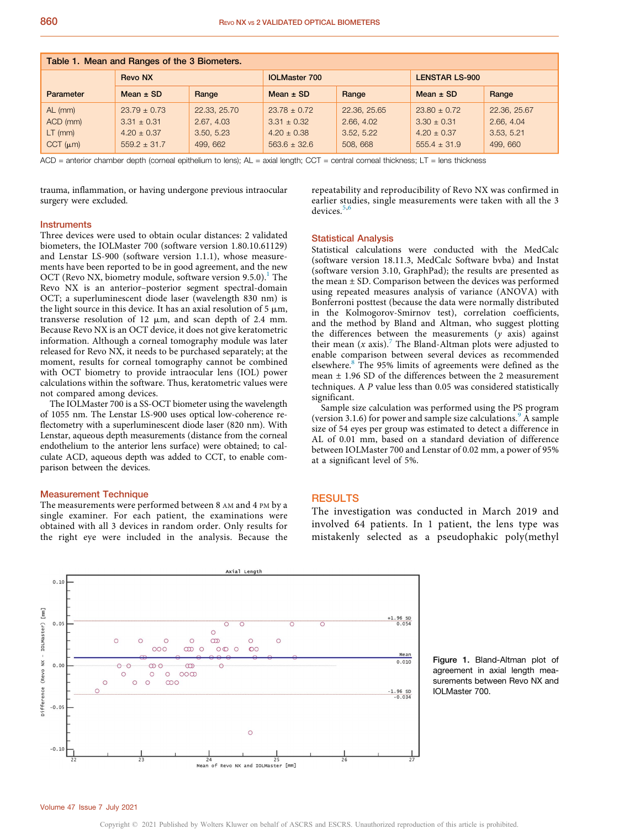| Table 1. Mean and Ranges of the 3 Biometers. |                                     |                            |                                   |                            |                                   |                            |  |  |  |  |  |
|----------------------------------------------|-------------------------------------|----------------------------|-----------------------------------|----------------------------|-----------------------------------|----------------------------|--|--|--|--|--|
|                                              | <b>Revo NX</b>                      |                            | <b>IOLMaster 700</b>              |                            | <b>LENSTAR LS-900</b>             |                            |  |  |  |  |  |
| Parameter                                    | Mean $\pm$ SD                       | Range                      | Mean $\pm$ SD                     | Range                      | Mean $\pm$ SD                     | Range                      |  |  |  |  |  |
| $AL$ (mm)<br>ACD (mm)                        | $23.79 \pm 0.73$<br>$3.31 \pm 0.31$ | 22.33, 25.70<br>2.67, 4.03 | $23.78 + 0.72$<br>$3.31 \pm 0.32$ | 22.36, 25.65<br>2.66, 4.02 | $23.80 + 0.72$<br>$3.30 \pm 0.31$ | 22.36, 25.67<br>2.66, 4.04 |  |  |  |  |  |
| $LT$ (mm)<br>$CCT$ ( $\mu$ m)                | $4.20 \pm 0.37$<br>$559.2 + 31.7$   | 3.50, 5.23<br>499, 662     | $4.20 \pm 0.38$<br>$563.6 + 32.6$ | 3.52, 5.22<br>508, 668     | $4.20 \pm 0.37$<br>$555.4 + 31.9$ | 3.53, 5.21<br>499, 660     |  |  |  |  |  |

ACD = anterior chamber depth (corneal epithelium to lens); AL = axial length; CCT = central corneal thickness; LT = lens thickness

trauma, inflammation, or having undergone previous intraocular surgery were excluded.

repeatability and reproducibility of Revo NX was confirmed in earlier studies, single measurements were taken with all the 3 devices.<sup>5</sup>

# **Instruments**

Three devices were used to obtain ocular distances: 2 validated biometers, the IOLMaster 700 (software version 1.80.10.61129) and Lenstar LS-900 (software version 1.1.1), whose measurements have been reported to be in good agreement, and the new OCT (Revo NX, biometry module, software version 9.5.0).<sup>1</sup> The Revo NX is an anterior–posterior segment spectral-domain OCT; a superluminescent diode laser (wavelength 830 nm) is the light source in this device. It has an axial resolution of  $5 \mu m$ , transverse resolution of 12  $\mu$ m, and scan depth of 2.4 mm. Because Revo NX is an OCT device, it does not give keratometric information. Although a corneal tomography module was later released for Revo NX, it needs to be purchased separately; at the moment, results for corneal tomography cannot be combined with OCT biometry to provide intraocular lens (IOL) power calculations within the software. Thus, keratometric values were not compared among devices.

The IOLMaster 700 is a SS-OCT biometer using the wavelength of 1055 nm. The Lenstar LS-900 uses optical low-coherence reflectometry with a superluminescent diode laser (820 nm). With Lenstar, aqueous depth measurements (distance from the corneal endothelium to the anterior lens surface) were obtained; to calculate ACD, aqueous depth was added to CCT, to enable comparison between the devices.

#### Measurement Technique

The measurements were performed between 8 AM and 4 PM by a single examiner. For each patient, the examinations were obtained with all 3 devices in random order. Only results for the right eye were included in the analysis. Because the

#### Statistical Analysis

Statistical calculations were conducted with the MedCalc (software version 18.11.3, MedCalc Software bvba) and Instat (software version 3.10, GraphPad); the results are presented as the mean ± SD. Comparison between the devices was performed using repeated measures analysis of variance (ANOVA) with Bonferroni posttest (because the data were normally distributed in the Kolmogorov-Smirnov test), correlation coefficients, and the method by Bland and Altman, who suggest plotting the differences between the measurements  $(y \text{ axis})$  against their mean  $(x \text{ axis})$ . The Bland-Altman plots were adjusted to enable comparison between several devices as recommended elsewhere.<sup>8</sup> The 95% limits of agreements were defined as the mean ± 1.96 SD of the differences between the 2 measurement techniques. A P value less than 0.05 was considered statistically significant.

Sample size calculation was performed using the PS program (version 3.1.6) for power and sample size calculations. $9$  A sample size of 54 eyes per group was estimated to detect a difference in AL of 0.01 mm, based on a standard deviation of difference between IOLMaster 700 and Lenstar of 0.02 mm, a power of 95% at a significant level of 5%.

## **RESULTS**

The investigation was conducted in March 2019 and involved 64 patients. In 1 patient, the lens type was mistakenly selected as a pseudophakic poly(methyl



Figure 1. Bland-Altman plot of agreement in axial length measurements between Revo NX and IOLMaster 700.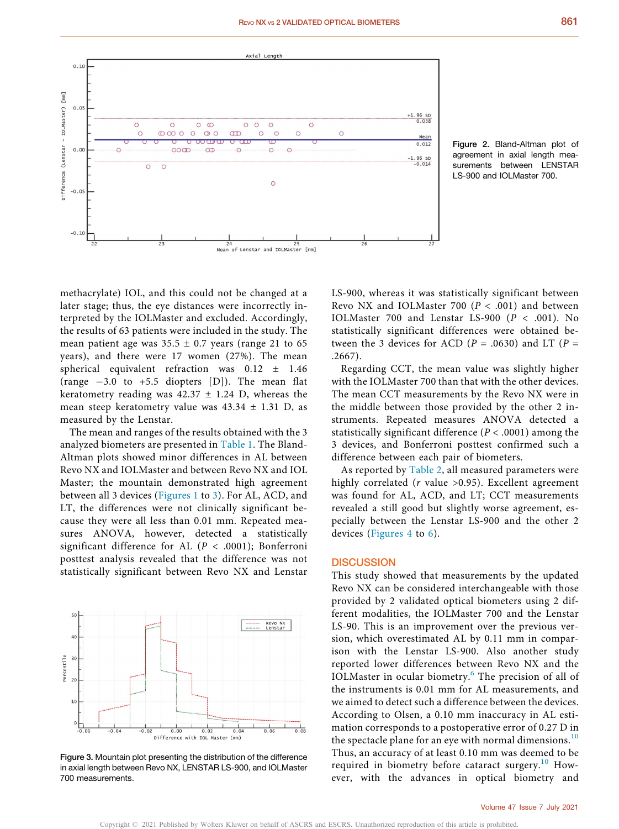



methacrylate) IOL, and this could not be changed at a later stage; thus, the eye distances were incorrectly interpreted by the IOLMaster and excluded. Accordingly, the results of 63 patients were included in the study. The mean patient age was  $35.5 \pm 0.7$  years (range 21 to 65 years), and there were 17 women (27%). The mean spherical equivalent refraction was 0.12 ± 1.46 (range  $-3.0$  to  $+5.5$  diopters [D]). The mean flat keratometry reading was  $42.37 \pm 1.24$  D, whereas the mean steep keratometry value was  $43.34 \pm 1.31$  D, as measured by the Lenstar.

The mean and ranges of the results obtained with the 3 analyzed biometers are presented in Table 1. The Bland-Altman plots showed minor differences in AL between Revo NX and IOLMaster and between Revo NX and IOL Master; the mountain demonstrated high agreement between all 3 devices (Figures 1 to 3). For AL, ACD, and LT, the differences were not clinically significant because they were all less than 0.01 mm. Repeated measures ANOVA, however, detected a statistically significant difference for AL ( $P < .0001$ ); Bonferroni posttest analysis revealed that the difference was not statistically significant between Revo NX and Lenstar



Figure 3. Mountain plot presenting the distribution of the difference in axial length between Revo NX, LENSTAR LS-900, and IOLMaster 700 measurements.

LS-900, whereas it was statistically significant between Revo NX and IOLMaster 700 ( $P < .001$ ) and between IOLMaster 700 and Lenstar LS-900 ( $P < .001$ ). No statistically significant differences were obtained between the 3 devices for ACD ( $P = .0630$ ) and LT ( $P =$ .2667).

Regarding CCT, the mean value was slightly higher with the IOLMaster 700 than that with the other devices. The mean CCT measurements by the Revo NX were in the middle between those provided by the other 2 instruments. Repeated measures ANOVA detected a statistically significant difference ( $P < .0001$ ) among the 3 devices, and Bonferroni posttest confirmed such a difference between each pair of biometers.

As reported by Table 2, all measured parameters were highly correlated ( $r$  value  $>0.95$ ). Excellent agreement was found for AL, ACD, and LT; CCT measurements revealed a still good but slightly worse agreement, especially between the Lenstar LS-900 and the other 2 devices (Figures 4 to 6).

## **DISCUSSION**

This study showed that measurements by the updated Revo NX can be considered interchangeable with those provided by 2 validated optical biometers using 2 different modalities, the IOLMaster 700 and the Lenstar LS-90. This is an improvement over the previous version, which overestimated AL by 0.11 mm in comparison with the Lenstar LS-900. Also another study reported lower differences between Revo NX and the IOLMaster in ocular biometry.<sup>6</sup> The precision of all of the instruments is 0.01 mm for AL measurements, and we aimed to detect such a difference between the devices. According to Olsen, a 0.10 mm inaccuracy in AL estimation corresponds to a postoperative error of 0.27 D in the spectacle plane for an eye with normal dimensions. $^{10}$ Thus, an accuracy of at least 0.10 mm was deemed to be required in biometry before cataract surgery.<sup>10</sup> However, with the advances in optical biometry and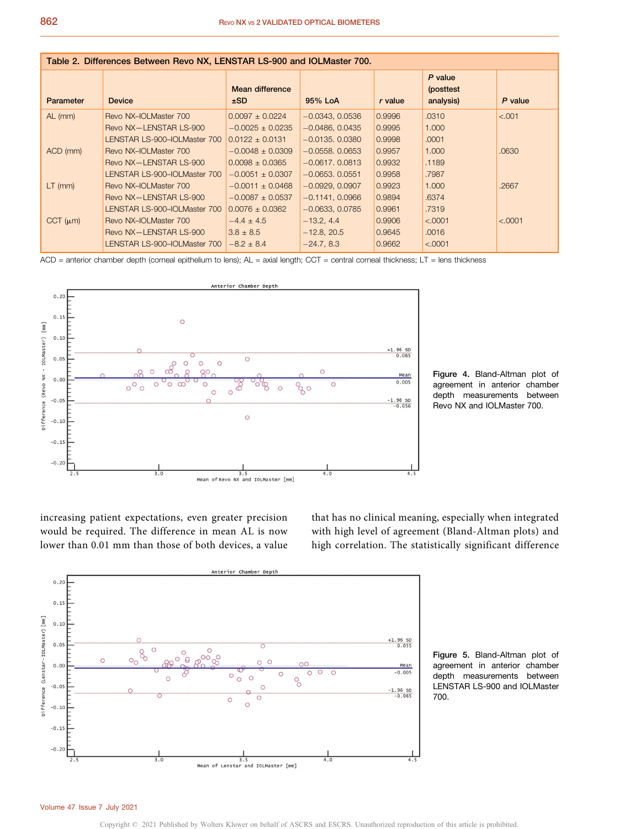| Table 2. Differences Between Revo NX, LENSTAR LS-900 and IOLMaster 700. |                              |                        |                   |           |                                    |         |  |  |  |  |
|-------------------------------------------------------------------------|------------------------------|------------------------|-------------------|-----------|------------------------------------|---------|--|--|--|--|
| Parameter                                                               | <b>Device</b>                | Mean difference<br>±SD | 95% LoA           | $r$ value | P value<br>(posttest)<br>analysis) | P value |  |  |  |  |
| $AL$ (mm)                                                               | Revo NX-IOLMaster 700        | $0.0097 \pm 0.0224$    | $-0.0343, 0.0536$ | 0.9996    | .0310                              | < .001  |  |  |  |  |
|                                                                         | Revo NX-LENSTAR LS-900       | $-0.0025 \pm 0.0235$   | $-0.0486, 0.0435$ | 0.9995    | 1.000                              |         |  |  |  |  |
|                                                                         | LENSTAR LS-900-IOLMaster 700 | $0.0122 \pm 0.0131$    | $-0.0135, 0.0380$ | 0.9998    | .0001                              |         |  |  |  |  |
| ACD (mm)                                                                | Revo NX-IOLMaster 700        | $-0.0048 \pm 0.0309$   | $-0.0558, 0.0653$ | 0.9957    | 1.000                              | .0630   |  |  |  |  |
|                                                                         | Revo NX-LENSTAR LS-900       | $0.0098 \pm 0.0365$    | $-0.0617, 0.0813$ | 0.9932    | .1189                              |         |  |  |  |  |
|                                                                         | LENSTAR LS-900-IOLMaster 700 | $-0.0051 \pm 0.0307$   | $-0.0653, 0.0551$ | 0.9958    | .7987                              |         |  |  |  |  |
| $LT$ (mm)                                                               | Revo NX-IOLMaster 700        | $-0.0011 \pm 0.0468$   | $-0.0929, 0.0907$ | 0.9923    | 1.000                              | .2667   |  |  |  |  |
|                                                                         | Revo NX-LENSTAR LS-900       | $-0.0087 \pm 0.0537$   | $-0.1141, 0.0966$ | 0.9894    | .6374                              |         |  |  |  |  |
|                                                                         | LENSTAR LS-900-IOLMaster 700 | $0.0076 \pm 0.0362$    | $-0.0633, 0.0785$ | 0.9961    | .7319                              |         |  |  |  |  |
| $CCT$ ( $\mu$ m)                                                        | Revo NX-IOLMaster 700        | $-4.4 \pm 4.5$         | $-13.2, 4.4$      | 0.9906    | < .0001                            | < .0001 |  |  |  |  |
|                                                                         | Revo NX-LENSTAR LS-900       | $3.8 \pm 8.5$          | $-12.8, 20.5$     | 0.9645    | .0016                              |         |  |  |  |  |
|                                                                         | LENSTAR LS-900-IOLMaster 700 | $-8.2 \pm 8.4$         | $-24.7, 8.3$      | 0.9662    | < .0001                            |         |  |  |  |  |

ACD = anterior chamber depth (corneal epithelium to lens); AL = axial length; CCT = central corneal thickness; LT = lens thickness



Figure 4. Bland-Altman plot of agreement in anterior chamber depth measurements between Revo NX and IOLMaster 700.

increasing patient expectations, even greater precision would be required. The difference in mean AL is now lower than 0.01 mm than those of both devices, a value that has no clinical meaning, especially when integrated with high level of agreement (Bland-Altman plots) and high correlation. The statistically significant difference



Figure 5. Bland-Altman plot of agreement in anterior chamber depth measurements between LENSTAR LS-900 and IOLMaster 700.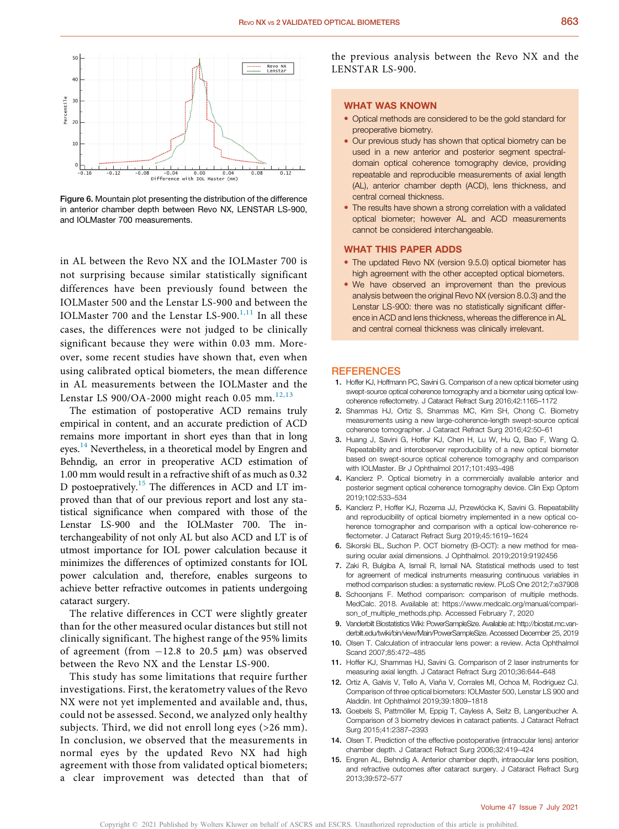

Figure 6. Mountain plot presenting the distribution of the difference in anterior chamber depth between Revo NX, LENSTAR LS-900, and IOLMaster 700 measurements.

in AL between the Revo NX and the IOLMaster 700 is not surprising because similar statistically significant differences have been previously found between the IOLMaster 500 and the Lenstar LS-900 and between the IOLMaster 700 and the Lenstar LS-900.<sup>1,11</sup> In all these cases, the differences were not judged to be clinically significant because they were within 0.03 mm. Moreover, some recent studies have shown that, even when using calibrated optical biometers, the mean difference in AL measurements between the IOLMaster and the Lenstar LS 900/OA-2000 might reach 0.05 mm. $^{12,13}$ 

The estimation of postoperative ACD remains truly empirical in content, and an accurate prediction of ACD remains more important in short eyes than that in long eyes.<sup>14</sup> Nevertheless, in a theoretical model by Engren and Behndig, an error in preoperative ACD estimation of 1.00 mm would result in a refractive shift of as much as 0.32 D postoepratively.<sup>15</sup> The differences in ACD and LT improved than that of our previous report and lost any statistical significance when compared with those of the Lenstar LS-900 and the IOLMaster 700. The interchangeability of not only AL but also ACD and LT is of utmost importance for IOL power calculation because it minimizes the differences of optimized constants for IOL power calculation and, therefore, enables surgeons to achieve better refractive outcomes in patients undergoing cataract surgery.

The relative differences in CCT were slightly greater than for the other measured ocular distances but still not clinically significant. The highest range of the 95% limits of agreement (from  $-12.8$  to 20.5  $\mu$ m) was observed between the Revo NX and the Lenstar LS-900.

This study has some limitations that require further investigations. First, the keratometry values of the Revo NX were not yet implemented and available and, thus, could not be assessed. Second, we analyzed only healthy subjects. Third, we did not enroll long eyes (>26 mm). In conclusion, we observed that the measurements in normal eyes by the updated Revo NX had high agreement with those from validated optical biometers; a clear improvement was detected than that of

the previous analysis between the Revo NX and the LENSTAR LS-900.

#### WHAT WAS KNOWN

- Optical methods are considered to be the gold standard for preoperative biometry.
- Our previous study has shown that optical biometry can be used in a new anterior and posterior segment spectraldomain optical coherence tomography device, providing repeatable and reproducible measurements of axial length (AL), anterior chamber depth (ACD), lens thickness, and central corneal thickness.
- The results have shown a strong correlation with a validated optical biometer; however AL and ACD measurements cannot be considered interchangeable.

## WHAT THIS PAPER ADDS

- The updated Revo NX (version 9.5.0) optical biometer has high agreement with the other accepted optical biometers.
- We have observed an improvement than the previous analysis between the original Revo NX (version 8.0.3) and the Lenstar LS-900: there was no statistically significant difference in ACD and lens thickness, whereas the difference in AL and central corneal thickness was clinically irrelevant.

#### **REFERENCES**

- 1. Hoffer KJ, Hoffmann PC, Savini G. Comparison of a new optical biometer using swept-source optical coherence tomography and a biometer using optical lowcoherence reflectometry. J Cataract Refract Surg 2016;42:1165–1172
- 2. Shammas HJ, Ortiz S, Shammas MC, Kim SH, Chong C. Biometry measurements using a new large-coherence-length swept-source optical coherence tomographer. J Cataract Refract Surg 2016;42:50–61
- 3. Huang J, Savini G, Hoffer KJ, Chen H, Lu W, Hu Q, Bao F, Wang Q. Repeatability and interobserver reproducibility of a new optical biometer based on swept-source optical coherence tomography and comparison with IOLMaster. Br J Ophthalmol 2017;101:493–498
- 4. Kanclerz P. Optical biometry in a commercially available anterior and posterior segment optical coherence tomography device. Clin Exp Optom 2019;102:533–534
- 5. Kanclerz P, Hoffer KJ, Rozema JJ, Przewłócka K, Savini G. Repeatability and reproducibility of optical biometry implemented in a new optical coherence tomographer and comparison with a optical low-coherence reflectometer. J Cataract Refract Surg 2019;45:1619–1624
- 6. Sikorski BL, Suchon P. OCT biometry (B-OCT): a new method for measuring ocular axial dimensions. J Ophthalmol. 2019;2019:9192456
- 7. Zaki R, Bulgiba A, Ismail R, Ismail NA. Statistical methods used to test for agreement of medical instruments measuring continuous variables in method comparison studies: a systematic review. PLoS One 2012;7:e37908
- 8. Schoonians F. Method comparison: comparison of multiple methods. MedCalc. 2018. Available at: [https://www.medcalc.org/manual/compari](https://www.medcalc.org/manual/comparison_of_multiple_methods.php)[son\\_of\\_multiple\\_methods.php.](https://www.medcalc.org/manual/comparison_of_multiple_methods.php) Accessed February 7, 2020
- 9. Vanderbilt Biostatistics Wiki: PowerSampleSize. Available at: [http://biostat.mc.van](http://biostat.mc.vanderbilt.edu/twiki/bin/view/Main/PowerSampleSize)[derbilt.edu/twiki/bin/view/Main/PowerSampleSize](http://biostat.mc.vanderbilt.edu/twiki/bin/view/Main/PowerSampleSize). Accessed December 25, 2019
- 10. Olsen T. Calculation of intraocular lens power: a review. Acta Ophthalmol Scand 2007;85:472–485
- 11. Hoffer KJ, Shammas HJ, Savini G. Comparison of 2 laser instruments for measuring axial length. J Cataract Refract Surg 2010;36:644–648
- 12. Ortiz A, Galvis V, Tello A, Viaña V, Corrales MI, Ochoa M, Rodriguez CJ. Comparison of three optical biometers: IOLMaster 500, Lenstar LS 900 and Aladdin. Int Ophthalmol 2019;39:1809–1818
- 13. Goebels S, Pattmöller M, Eppig T, Cayless A, Seitz B, Langenbucher A. Comparison of 3 biometry devices in cataract patients. J Cataract Refract Surg 2015;41:2387–2393
- 14. Olsen T. Prediction of the effective postoperative (intraocular lens) anterior chamber depth. J Cataract Refract Surg 2006;32:419–424
- 15. Engren AL, Behndig A. Anterior chamber depth, intraocular lens position, and refractive outcomes after cataract surgery. J Cataract Refract Surg 2013;39:572–577